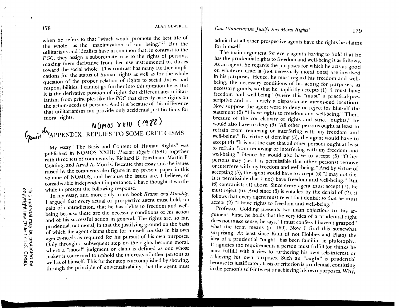when he refers to that "which would promote the best life of the whole" as the "maximization of our being."25 But the utilitarians and idealists have in common that, in contrast to the *PCC.,* they assign a subordinate role to the rights of persons, making them derivative from, because instrumental to, duties toward the social whole. This contrast has many further implications for the status of human rights as well as for the whole question of the proper relation of rights to social duties and responsibilities. I cannot go further into this question here. But it is the derivative position of rights that differentiates utilitarianism from principles like the *PGC* that directly base rights on the action-needs of persons. And it is because of this difference that utilitarianism can provide only accidental justifications for moral rights.

# moral rights.<br>MOMOS XXIV (1982)<br>Gravic<sup>H</sup>/APPENDIX: REPLIES TO SOME CRITICISMS

My essay "The Basis and Content of Human Rights" was published in NOMOS XXIII: *Human Rights* (1981) together with three sets of comments by Richard B. Friedman, Martin P. Golding, and Arval A. Morris. Because that essay and the issues raised by the comments also figure in my present paper in this volume of NOMOS, and because the issues are, 1 believe, of considerable independent importance, I have thought it worthwhile to present the following response.

In my essay, and more fully in my book *Reason and Morality,*  I argued that every actual or prospective agent must hold, on pain of contradiction, that he has rights to freedom and wellbeing because these are the necessary conditions of his action and of his successful action in general. The rights are, so far, prudential, not moral, in that the justifying ground on the basis of which the agent claims them for himself consists in his own agency-needs as required for his pursuit of his own purposes. Only through a subsequent step do the rights become moral, where a "moral" judgment or claim is defined as one whose maker is concerned to uphold the interests of other persons as well as of himself. This further step is accomplished by showing, through the principle of universalizability, that the agent must

admit that all other prospective agents have the rights he claims for himself.

The main argument for every agent's having to hold that he has the prudential rights to freedom and well-being is as follows. As an agent, he regards the purposes for which he acts as good on whatever criteria (not necessarily moral ones) are involved in his purposes. Hence, he must regard his freedom and wellbeing, the necessary conditions of his acting for purposes, as necessary goods, so that he implicitly accepts (1) "1 must have freedom and well-being" (where this "must" is practical-prescriptive and not merely a dispassionate means-end locution). Now suppose the agent were to deny or reject for himself the statement (2) "I have rights to freedom and well-being." Then, because of' the correlativity of rights and strict "oughts," he would also have to deny (3) "All other persons ought at least to refrain from removing or interfering with my freedom and well-being." By virtue of denying (3), the agent would have to accept (4) "It is not the case that all other persons ought at least to refrain from removing or interfering with my freedom and well-being." Hence he would also have to accept (5) "Other persons may (i.e. It is permissible that other persons) remove or interfere with niy freedom and well-being." And by virtue of accepting *(5),* the agent would have to accept (6) "1 may not (i.e. It is permissible that I not) have freedom and well-being." But (6) contradicts (1) above. Since every agent must accept **(I),** he must reject (6). And since (6) is entailed by the denial of (2), it follows that every agent must reject that denial; so that he must accept **(2)** "I have rights to freedom and well-being."

Professor Golding presents two main objections to this argument. First, he holds that the very idea of a prudential right does not make sense; he says, "I must confess I haven't grasped" what the term means (p. 169). Now I find this somewhat surprising. At least since Kant (if not Hobbes and Plato) the idea of a prudential "ought" has been familiar in philosophy. It signifies the requirements a person must fulfill (or thinks he must fulfill) with a view to furthering his own self-interest or achieving his own purposes. Such an "ought" is prudential because its justificatory basis or criterion is prudential, consisting in the person's self-interest or achieving his own purposes. Why,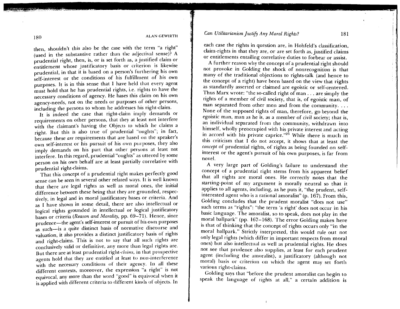180 ALAN GEWIRTH

then, shouldn't this also be the case with the term "a right" (used in the substantive rather than he adjectival sense)? **A**  prudential right, then, is, or is set forth as, a justified claim or entitlement whose justificatory basis or criterion is likewise prudential, in that it is based on a person's furthering his own self-interest or the conditions of his fulfillment of his own purposes. It is in this sense that 1 have held that every agent must hold that he has prudential rights, i.e. rights to have the necessary conditions of agency. He bases this claim on his own agency-needs, not on the needs or purposes of other persons, including the persons to whom he addresses his right-claim.

It is indeed the case that right-claim imply demands or requirements on other persons, that they at least not interfere with the claimant's having the Objects to which he claims a right. But this is also true of prudential "oughts"; in fact, because these are requirements that are based on the speaker's own self-interest or his pursuit of his own purposes, they also imply demands on his part that other persons at least not interfere. In this regard, prudential "oughts" as uttered by some person on his own behalf are at least partially correlative with prudential right-claims.

That this concept of a prudential right makes perfectly good sense can be seen in several other related ways. It is well known that there are legal rights as well as moral ones, the initial difference between these being that they are grounded, respectively, in legal and in moral justificatory bases or criteria. And as I have shown in some detail, there are also intellectual or logical rights grounded in intellectual or logical justificatory bases or criteria (Reason and Morality, pp. 69-71). Hence, since prudence-the agent's self-interest or pursuit of his own purposes as such-is a quite distinct basis of normative discourse and valuation, it also provides a distinct justificatory basis of rights and right-claims. This is not to say that all such rights are conclusively valid or definitive, any more than legal rights are. But there are at least prudential right-claims, in that prospective agents hold that they are entitled at least to non-interference with the necessary conditions of their agency. In all these different contexts, moreover, the expression "a right" is not equivocal, any more than the word "good" is equivocal when it is applied with different criteria to different kinds of objects. In

each case the rights in question are, in Hohfeld's classification, claim-rights in that they are, or are set forth as, justified claims or entitlements entailing correlative duties to forbear or assist.

A further reason why the concept of a prudential right should not provoke in Golding the shock of nonrecognition is that the concept of a right) have been based on the view that rights as standardly asserted or claimed are egoistic or self-centered. Thus Marx wrote: "the so-called right of man . . . are simply the rights of a member of civil society, that is, of egoistic man, of man separated from other men and from the community. . . . None of the supposed rights of man, therefore, go beyond the egoistic man, man as he is, as a member of civil society; that is, an individual separated from the community, withdrawn into himself, wholly preoccupied with his private interest and acting in accord with his private caprice." $26$  While there is much in this criticism that I do not accept, it shows that at least the concept of prudential rights, of rights as being founded on selfinterest or the agent's pursuit of his own purposes, is far from novel.

A very large part of Golding's failure to understand the concept of a prudential right stems from his apparent belief that all rights are moral ones. He correctly notes that the starting-point of my argument is morally neutral so that it applies to all agents, including, as he puts it, "the prudent, selfinterested agent who is a rational amoralist" (p. 167). From this, Golding concludes that the prudent moralist "does not use" such terms as "rights": "the term 'a right' does not occur in his basic language. The amoralist, so to speak, does not play in the moral ballpark" (pp. 167-168). The error Golding makes here is that of thinking that the concept of rights occurs only "in the moral ballpark." Strictly interpreted, this would rule out not only legal rights (which differ in important respects from moral ones) but also intellectual as well as prudential rights. He does not see that prudence also supplies, at least for each prudent agent (including the amoralist), a justificatory (although not moral) basis or criterion on which the agent may set forth various right-claims.

Golding says that "before the prudent amoralist can begin to speak the language of rights at all," a certain addition is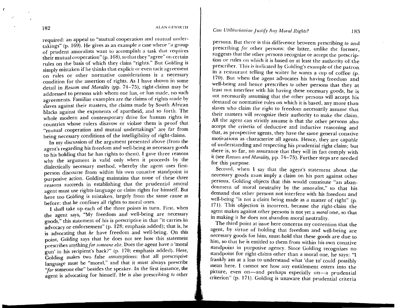required: an appeal to "mutual cooperation and mutual undertakings" (p. 169). He gives as an example a case where "a group of prudent amoralists want to accomplish a task that requires their mutual cooperation" (p. 168), so that they "agree" on certain rules on the basis of which they claim "rights." But Golding is simply mistaken if he thinks that explicit or even tacit agreement on rules or other normative considerations is a necessary condition for the assertion of rights. As 1 have shown in some detail in *Reason and Morality* (pp. 74-75), right-claims may be addressed to persons with whom one has, or has made, no such agreements. Familiar examples are the claims of rights made by slaves against their masters, the claims made by South African blacks against the exponents of apartheid, and so forth. The whole modern and contemporary drive for human rights in countries whose rulers disavow or violate them is proof that "mutual cooperation and mutual undertakings" are far from being necessary conditions of the intelligibility of right-claims.

In my discussion of the argument presented above (from the agent's regarding his freedom and well-being as necessary goods to his holding that he has rights to them), I gave three reasons why the argument is valid only when it proceeds by the dialectically necessary method, whereby the agent uses firstperson discourse from within his own conative standpoint in purposive action. Golding maintains that none of these three reasons succeeds in establishing that the prudential amoral agent must use rights-language or claim rights for himself. But here too Golding is mistaken, largely from the same cause as before: that he confines all rights to moral ones.

I shall take up each of the three points in turn. First, when the agent says, "My freedom and well-being are necessary goods," this statement of his is prescriptive in that "it carries *his*  advocacy or endorsement" (p. 128; emphasis added); that is, he is advocating that *he* have freedom and well-being. On this point, Golding says that he does not see how this statement prescribes anything *for someone else*. Does the agent have a 'moral gun' in his recipient's back?" (p. 170; emphasis added). Here, Gelding makes two false assumptions: that all prescriptive language must be "moral," and that it must always prescribe *"for* someone else" besides the speaker. In the first instance, the agent is advocating for himself. He is also prescribing *to* other

# Can Utilitarianism Justify Any Moral Rights?

persons. But there is this difference between prescribing *to* and prescribing *for* other persons: the latter, unlike the former, suggests that the other persons recognize or accept the prescription or rules on which it is based or at least the authority of the prescriber. This is indicated by Golding's example of the patron in a restaurant telling the waiter he wants a cup of coffee (p. 170). But when the agent advocates his having freedom and well-being and hence prescribes *to* other persons that they at least not interfere with his having these necessary goods, he is not necessarily assuming that the other persons will accept his demand or normative rules on which it is based, any more than slaves who claim the right to freedom necessarily assume that their masters will recognize their authority to make the claim. All the agent can strictly assume is that the other persons also accept the criteria of deductive and inductive reasoning and that, as prospective agents, they have the same general conative motivations as characterize all agents. Hence, they are capable of understanding and respecting his prudential right-claim; but there is, so far, no assurance that they will in fact comply with it (see *Reason and Morality*, pp. 74-75). Further steps are needed for this purpose.

Second, when I say that the agent's statement about the necessary goods must imply a claim on his part against other persons, Golding objects that this would constitute "an abandonment of moral neutrality by the amoralist," so that his demand that other persons not interfere with his freedom and well-being "is not a claim being made as a matter of right" (p. 171). This objection is incorrect, because the right-claim the agent makes against other persons is not yet a *moral* one, so that in making it he does not abandon moral neutrality.

The third point at issue here concerns my contention that the agent, by virtue of holding that freedom and well-being are necessary goods for him, must hold that these goods are due to him, so that he is entitled to them from within his own conative standpoint in purposive agency. Since Golding recognizes no standpoint for right-claims other than a moral one, he says: "I frankly am at a loss to understand what 'due to' could possibly mean here. I cannot see how any entitlement enters into the picture, even on-and perhaps especially on-a prudential criterion" (p. 171). Golding is unaware that prudential criteria

₹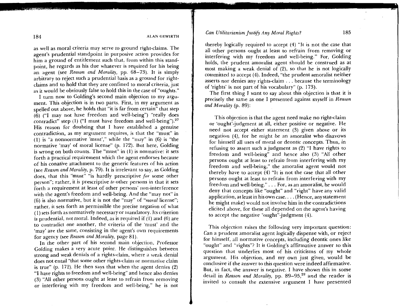184 ALAN GEWIRTH

as well as moral criteria may serve to ground right-claims. The agent's prudential standpoint in purposive action provides for him a ground of entitlement such that, from within this standpoint, he regards as his due whatever is required for his being an agent (see *Reason and Morality,* pp. 68-73). It is simply arbitrary to reject such a prudential basis as a ground for rightclaims and to hold that they are confined to moral criteria, just as it would be obviously false to hold this in the case of "oughts."

I turn now to Golding's second main objection to my argument. This objection is in two parts. First, in my argument as spelled out above, he holds that "it is far from certain" that step (6) ("I may not have freedom and well-being") "really does contradict" step  $(1)$  ("I must have freedom and well-being").<sup>27</sup> His reason for doubting that I have established a genuine contradiction, as my argument requires, is that the "must" in  $(1)$  is "a nonnormative 'must'," while the "may" in  $(6)$  is "the normative 'may' of moral license" (p. 172). But here, Golding is wrong on both counts. The "must" in (I) is normative: it sets forth a practical requirement which the agent endorses because of his conative attachment to the generic features of his action (see *Reason and Morality,* p. 79). It is irrelevant to say, as Golding does, that this "must" "is hardly prescriptive *for* some other person"; rather, it is prescriptive *to* other persons in that it sets forth a requirement at least of other persons' non-interference with the agent's freedom and well-being. And the "may not" in (6) is also normative, but it is not the "may" of "moral license"; rather, it sets forth as permissible the precise negation of what  $(1)$  sets forth as normatively necessary or mandatory. Its criterion is prudential, not moral. Indeed, as is required if  $(1)$  and  $(6)$  are to contradict one another, the criteria of the 'must' and the 'may' are the same, consisting in the agent's own requirements for agency (see *Reason and Morality,* page 81).

In the other part of his second main objection, Professor Golding makes a very acute point. He distinguishes between strong and weak denials of a rights-claim, where a weak denial does not entail "that some other rights-claim or normative claim is true" (p. 172). He then says that when the agent denies (2) "I have rights to freedom and well-being" and hence also denies (3) "All other persons ought at least to refrain from removing or interfering with my freedom and well-being," he is not

thereby logically required to accept (4) "It is not the case that all other persons ought at least to refrain from removing or interfering with my freedom and well-being." For, Golding holds, the prudent amoralist agent should be construed as at most making a weak denial of  $(2)$ , so that he is not logically committed to accept (4). Indeed, "the prudent amoralist neither asserts nor denies any rights-claim . . . because the terminology of 'rights' is not part of his vocabulary" (p. 173).

The first thing I want to say about this objection is that it is precisely the same as one I presented against myself in *Reason and Morality* (p. 89):

This objection is that the agent need make no right-claim or 'ought'-judgment at all, either positive or negative. He need not accept either statement (3) given above or its negation (4), for he might be an amoralist who disavows for himself all uses of moral or deontic concepts. Thus, in refusing to assert such a judgment as (2) "I have rights to freedom and well-being" and hence also **(3)** "All other persons ought at least to refrain from interfering with my freedom and well-being," the amoralist agent would not thereby have to accept (4) "It is not the case that all other persons ought at least to refrain from interfering with my freetlom and well-being." . . . For, as an amoralist, he would deny that concepts like "ought" and "right" have any valid application, at least in his own case. . . . (Hence, any statement he might make) would not involve him in the contradictions elicited above, for these all depended on the agent's having to accept the negative "ought"-judgment (4).

This objection raises the following very important question: Can a prudent amoralist agent logically dispense with, or reject for himself, all normative concepts, including deontic ones like "ought" and "rights"? It is Golding's affirmative answer to this question that underlies most of his criticisms of my whole argument. His objection, and my own just given, would be conclusive if the answer to this question were indeed affirmative. But, in fact, the answer is negative. I have shown this in some detail in *Reason and Morality*, pp. 89-95,<sup>28</sup> and the reader is invited to consult the extensive argument I have presented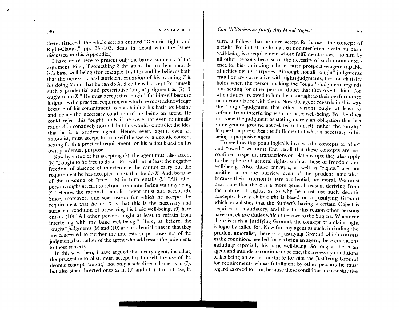there. (Indeed, the whole section entitled "Generic Kigllts and Right-Claims," pp. 63-103, deals in detail with the issues discussed in this Appendix.)

I have space here to present only the barest summary of the argument. First, if something Z threatens the prudent moralist's basic well-being (for example, his life) and he believes both that the necessary and sufficient condition of his avoiding Z is his doing  $X$  and that he can do  $X$ , then he will accept for himself such a prudential and prescriptive 'ought'-judgment as (7) "I ought to do  $X$ ." He must accept this "ought" for  $\overline{\text{hims}}$  because it signifies the practical requirement which he must acknowledge because of his commitment to maintaining his basic well-being and hence the necessary condition of his being an agent. He could reject this "ought" only if he were not even minimally rational or conatively normal, but this would contradict the idea that he is a prudent agent. Hence, every agent, even an amoralist, must accept for himself the use of a deontic concept setting forth a practical requirement for his action based on his own prudential purpose.

Now by virtue of his accepting (7), the agent must also accept (8) "I ought to be free to do X." For without at least the negative freedom of absence of interference, lie cannot carry out the requirement he has accepted in (7), that he do X. And, because of the meaning of "free," (8) in turn entails (9) "All other persons ought at least to refrain from interfering with my doing *X."* Hence, the rational amoralist agent must also accept (9). Since, moreover, one sole reason for which he accepts the requirement that he do  $X$  is that this is the necessary and sufficient condition of preserving his basic well-being, (9) here entails (10) "All other persons ought at least to refrain from interfering with my basic well-being." Here, as before, the "ought"-judgments (9) and (10) are prudential ones in that they are concerned to further the interests or purposes not of the judgments but rather of the agent who addresses the judgments to those subjects.

In this way, then, I have argued that every agent, including the prudent amoralist, must accept for himself the use of the deontic concept "ought," not only a self-directed one as in (7), but also other-directed ones as in (9) and (10). From these, in

turn, it follows that he must accept for himself the concept of a right. For in (10) he holds that noninterference with his basic well-being is a requirement whose fulfillment is owed to him by all other persons because of the necessity of such noninterference for his continuing to be at least a prospective agent capable of achieving his purposes. Although not all "ought"-judgments entail or are correlative with rights-judgments, the correlativity holds when the person making the "ought"-judgment regards it as setting for other persons duties that they owe to him. For when duties are owed to him, he has a right to their performance or to compliance with them. Now the agent regards in this way the "ought"-judgment that other persons ought at least to refrain from interfering with his basic well-being. For he does not view the judgment as stating merely an obligation that has some general ground not related to himself; rather, the "ought" in question prescribes the fulfillment of what is necessary to his being a purposive agent.

To see how this point logically involves the concepts of "due" and "owed," we must first recall that these concepts are not confined to specific transactions or relationships; they also apply to the sphere of general rights, such as those of freedom and well-beiug. Also, these concepts, as well as "rights," are not antithetical to the purview even of the prudent amoralist, because their criterion is liere prudential, not moral. We must next note that there is a more general reason, deriving from the nature of rights, as to why he must use such deontic concepts. Every claim-right is based on a Justifying Ground which establishes that the Subject's having a certain Object is required or mandatory, and that for this reason other persons have correlative duties which they owe to the Subject. Whenever there is such a Justifying Ground, the concept of a claim-right is logically called for. Now for any agent as such, including the prudent amoralist, there is a Justifying Ground which consists in the conditions needed for his being an agent, these conditions including especially his basic well-being. So long as he is an agent and intends to continue to be one, the necessary conditions of his being an agent constitute for him the Justifying Ground for requirements whose fulfillment by other persons he must regard as owed to him, because these conditions are constitutive

-f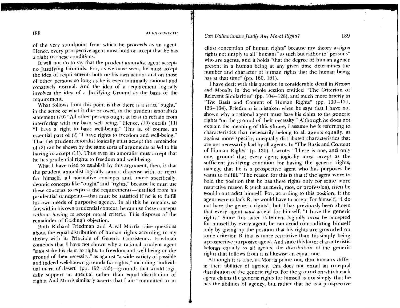188 ALAN GEWIRTH

of the very standpoint from which he proceeds as an agent. Hence, every prospective agent must hold or accept that he has a right to these conditions.

It will not do to say that the prudent amoralist agent accepts no Justifying Grounds. For, as we have seen, lie must accept the idea of requirements both on his own actions and on those of other persons SO long as he is even minimally rational and conatively normal. And the idea of a requirement logically involves the idea of a Justifying Ground as the basis of the requirement.

What follows from this point is that there is a strict "ought." in the sense of what is due or owed, in the prudent amoralist's statement (10) "All other persons ought at least to refrain from interfering with my basic well-being." Hence,  $(10)$  entails  $(11)$ "I have a right to basic well-being." This is, of course, an essential part of (2) "I have rights to freedom and well-being." That the prudent amoralist logically must accept the remainder of (2) can be shown by the same sorts of arguments as led to his having to accept  $(11)$ . Thus even an amoralist must accept that he has prudential rights to freedom and well-being.

What I have tried to establish by this argument, then, is that the prudent amoralist logically cannot dispense with, or reject for himself, all normative concepts and, more specifically, deontic concepts like "ought" and "rights," because he must use these concepts to express the requirements—justified from his prudential standpoint-that must be satisfied if he is to fulfill his own needs of purposive agency. In all this he remains, so far, within his own prudential context; he can use these concepts without having to accept moral criteria. This disposes of the remainder of Golding's objection.

Both Richard Friedman and Arval Morris raise questions about the equal distribution of human rights according to my theory with its Principle of Generic Consistency. Friedman contends that I have not shown why a rational prudent agent *"must* stake his claim to rights to freedom and well-being on the ground of their necessity," as against "a wide variety of 1)ossible and indeed well-known grounds for rights," including "individual merit of desert" (pp. 152-153)-grounds that would logically support an unequal rather than equal distribution of rights. And Morris similarly asserts that I am "committed to an

elitist conception of human rights" because my theory assigns rights not simply to all "humans" as such but rather to "persons" who are agents, and it holds "that the degree of human agency present in a human being at any given time determines the number and character of human rights that the human being has at that time" (pp. 160, 161).

I have dealt with this question in considerable detail in *Reason and Morality* in the whole section entitled "The Criterion of Relevant Similarities" (pp. 104-128), and much more briefly in "The Basis and Content of Human Rights" (pp. 130-131, 133-134). Friedman is mistaken when he says that I have not shown why a rational agent must base his claim to the generic rights "on the ground of their necessity." Although he does not explain the meaning of this phrase, I assume he is referring to characteristics that necessarily belong to all agents equally, as against more specific, unequally distributed characteristics that are not necessarily had by all agents. In "The Basis and Content of Human Rights" (p. 130), I wrote: "There is one, and only one, ground that every agent logically must accept as the sufficient justifying condition for having the generic rights, namely, that he is a prospective agent who has purposes he wants to fulfill." The reason for this is that if the agent were to hold the position that he has these rights only for some more restrictive reason R (such as merit, race, or profession), then he would contradict himself. For, according to this position, if the agent were to lack R, he would have to accept for himself, "I do not have the generic rights"; but it has previously been shown that every agent *must* accept for himself, "I have the generic rights." Since this latter statement logically must be accepted for himself by every agent, he can avoid contradicting himself only by giving up the position that his rights are grounded on some criterion R that is more restrictive than his simply being a prospective purposive agent. And since this latter characteristic belongs equally to all agents, the distribution of the generic rights that follows from it is likewise an equal one.

Although it is true, as Morris points out, that humans differ in their abilities of agency, this does not entail an unequal distribution of the generic rights. For the ground on which each agent claims the generic rights for himself is not simply that he has the abilities of agency, but rather that he is a prospective

189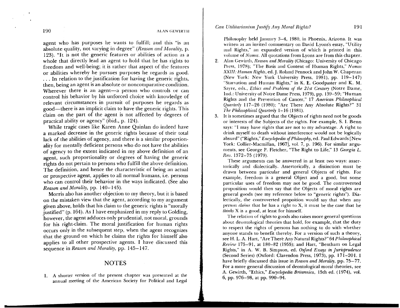**ALAN GEWIRTH** 

agent who has purposes he wants to fulfill; and this "is an absolute quality, not varying in degree" *(Reason and Morality, p.* 123). "It is not the generic features or abilities of action as a whole that directly lead an agent to hold that he has rights to freedom and well-being; it is rather that aspect of the features or abilities whereby he pursues purposes he regards as good. ... In relation to the justification for having the generic rights, then, being an agent is an absolute or noncomparative coridition. Wherever there is an agent-a person who controls or can control his behavior by his unforced choice with knowledge of relevant circumstances in pursuit of purposes he regards as good-there is an implicit claim to have the generic rights. This claim on the part of the agent is not affected by degrees of practical ability or agency" (ibid., p. 124).

While tragic cases like Karen Anne Quinlan do indeed have a marked decrease in the generic rights because of their total lack of the abilities of agency, and there is a similar proportionality for mentally deficient persons who do not have the abilities of agency to the extent indicated in my above definition of an agent, such proportionality or degrees of having the generic rights do not pertain to persons who fulfill the above definition. The definition, and hence the characteristic of being an actual or prospective agent, applies to all normal humans, i.e. persons who can control their behavior in the ways indicated. (See also *Reason and Morality*, pp. 140-145).

Morris also has another objection to my theory, but it is based on the mistaken view that the agent, according to my argument given above, holds that his claim to the generic rights is "morally"  $\tilde{p}$  instified" (p. 164). As I have emphasized in my reply to Golding, however, the agent adduces only prudential, not moral, grounds for his right-claim. The moral justification for human rights occurs only in the subsequent step, when the agent recognizes that the ground on which he claims the rights for liimself also applies to all other prospective agents. I have discussed this sequence in *Reason and Morality,* pp. 145-147.

# NOTES

**1.** A shorter version of the present chapter was presented at the annual meeting of the American Society for Political and Legal

Philosophy held January 3-4, 1980, in Phoenix, Arizona. It was written as an invited commentary on David Lyons's essay, "Utility and Rights," an expanded version of which is printed in this volume of *Nomns.* All quotations from Lyons are from this chapter.

- $\mathcal{P}$ Alan Gewirth, *Reason and Morality (Chicago: University of Chicago)* 1'1-ess. 15178); "'l'he Basis and Co~~teut of Human Rights," *Nomos XXIII: Human Rights, ed. J. Roland Pennock and John W. Chapman* (New York: New York University Press, 1981), pp.  $119-147$ ) "Starvation and Human Rights," in K. E. Goodpaster and K. M. Sayre, eds., *Ethics and Problems of the 21st Century* (Notre Dame, 11~1.: University of Notre Dame Press, 1979), pp. 139-59; "Human Rights and the Prevention of Cancer," 17 *American Philosophical Quarterly* 117-26 (1980); "Are There Any Absolute Rights?" 31 *The Philosophical Quarterly 1-16 (1981).*
- 3. It is sometimes argued that the Objects of rights need not be goods or interests of the Subjects of the rights. For example, S. I. Benn says: "I may have riglits that are not to my advantage. A right to drink myself to death without interference would not be logically absurd" ("Rights," *Encyclopedia of Philosophy*, ed. Paul Edwards [New York: Collier-Macmillan, 1967], vol. 7, p. 196). For similar argunients, see George P. Fletcher, "The Right to Life," 13 *Georgia* L. *Rev.* 1372-75 (1979).<br><sup>2</sup> These arguments can be answered in at least two ways: asser-

torically and dialectically. Assertorically, a distinction must be drawn between particular and general Objects of rights. For example, freedom is a general Object and a good, but some particular uses of freedom may not be good. The controverted proposition would then say that the Objects of moral rights are general goods (see my reference below to "generic rights"). Dialectically, the controverted propoition would say that when any person *claims* that he has a right to X, it must be the case that he  $$ 

The relation of rights to goods also raises more general questions about deontological theories that hold, for example, that the duty to respect the rights of persons has nothing to do with whether anyone stands to benefit thereby. For a version of such a theory, see H. L. A. Hart, "Are Therk Any Natural Rights?" 64 *Pldosophical Review* 175-91, at 180-82 (1955); and Hart, "Bentham on Legal Rights," in A. W. B. Simpson, ed. *Oxford Essays in Jurisprudence*  (Second Series) (Oxford: Clarendon Press, 1973), pp. 1 7 1-20 I. I have briefly discussed this issue in *Reason and Morality,* pp. 75-77. For a more general discussion of deontological moral theories, see A. Gewirth, "Ethics," *Encyclopedia Bnlannica,* 15th ed. (1974), vol. 6, pp. 976-98, at pp. 990-94.